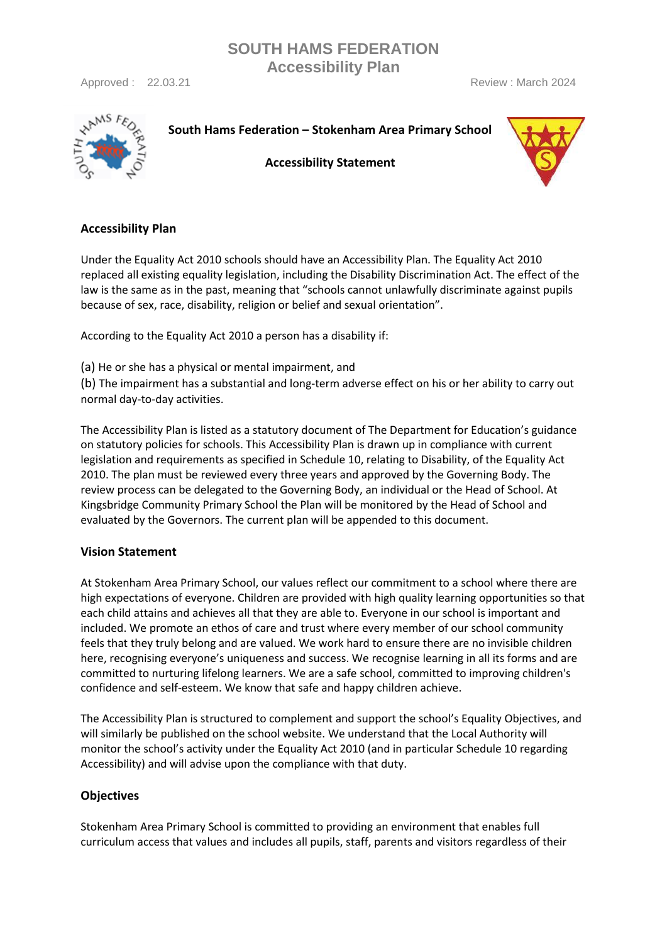Approved : 22.03.21 **Approved : 22.03.21** Review : March 2024



**South Hams Federation – Stokenham Area Primary School**

**SOUTH HAMS FEDERATION Accessibility Plan**

**Accessibility Statement**



## **Accessibility Plan**

Under the Equality Act 2010 schools should have an Accessibility Plan. The Equality Act 2010 replaced all existing equality legislation, including the Disability Discrimination Act. The effect of the law is the same as in the past, meaning that "schools cannot unlawfully discriminate against pupils because of sex, race, disability, religion or belief and sexual orientation".

According to the Equality Act 2010 a person has a disability if:

(a) He or she has a physical or mental impairment, and

(b) The impairment has a substantial and long-term adverse effect on his or her ability to carry out normal day-to-day activities.

The Accessibility Plan is listed as a statutory document of The Department for Education's guidance on statutory policies for schools. This Accessibility Plan is drawn up in compliance with current legislation and requirements as specified in Schedule 10, relating to Disability, of the Equality Act 2010. The plan must be reviewed every three years and approved by the Governing Body. The review process can be delegated to the Governing Body, an individual or the Head of School. At Kingsbridge Community Primary School the Plan will be monitored by the Head of School and evaluated by the Governors. The current plan will be appended to this document.

### **Vision Statement**

At Stokenham Area Primary School, our values reflect our commitment to a school where there are high expectations of everyone. Children are provided with high quality learning opportunities so that each child attains and achieves all that they are able to. Everyone in our school is important and included. We promote an ethos of care and trust where every member of our school community feels that they truly belong and are valued. We work hard to ensure there are no invisible children here, recognising everyone's uniqueness and success. We recognise learning in all its forms and are committed to nurturing lifelong learners. We are a safe school, committed to improving children's confidence and self-esteem. We know that safe and happy children achieve.

The Accessibility Plan is structured to complement and support the school's Equality Objectives, and will similarly be published on the school website. We understand that the Local Authority will monitor the school's activity under the Equality Act 2010 (and in particular Schedule 10 regarding Accessibility) and will advise upon the compliance with that duty.

## **Objectives**

Stokenham Area Primary School is committed to providing an environment that enables full curriculum access that values and includes all pupils, staff, parents and visitors regardless of their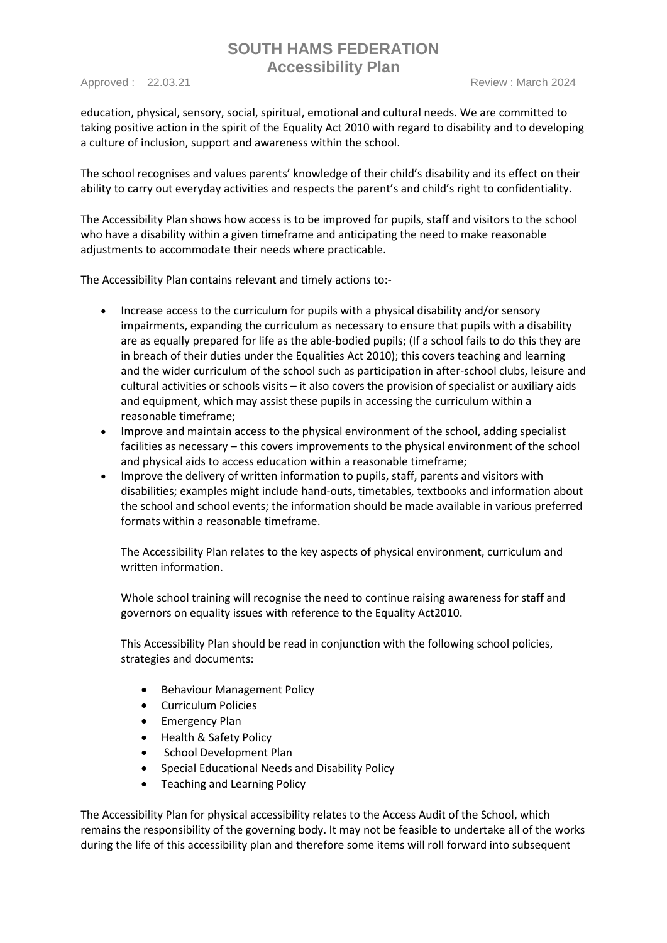Approved : 22.03.21 **Review : March 2024** Review : March 2024

education, physical, sensory, social, spiritual, emotional and cultural needs. We are committed to taking positive action in the spirit of the Equality Act 2010 with regard to disability and to developing a culture of inclusion, support and awareness within the school.

The school recognises and values parents' knowledge of their child's disability and its effect on their ability to carry out everyday activities and respects the parent's and child's right to confidentiality.

The Accessibility Plan shows how access is to be improved for pupils, staff and visitors to the school who have a disability within a given timeframe and anticipating the need to make reasonable adjustments to accommodate their needs where practicable.

The Accessibility Plan contains relevant and timely actions to:-

- Increase access to the curriculum for pupils with a physical disability and/or sensory impairments, expanding the curriculum as necessary to ensure that pupils with a disability are as equally prepared for life as the able-bodied pupils; (If a school fails to do this they are in breach of their duties under the Equalities Act 2010); this covers teaching and learning and the wider curriculum of the school such as participation in after-school clubs, leisure and cultural activities or schools visits – it also covers the provision of specialist or auxiliary aids and equipment, which may assist these pupils in accessing the curriculum within a reasonable timeframe;
- Improve and maintain access to the physical environment of the school, adding specialist facilities as necessary – this covers improvements to the physical environment of the school and physical aids to access education within a reasonable timeframe;
- Improve the delivery of written information to pupils, staff, parents and visitors with disabilities; examples might include hand-outs, timetables, textbooks and information about the school and school events; the information should be made available in various preferred formats within a reasonable timeframe.

The Accessibility Plan relates to the key aspects of physical environment, curriculum and written information.

Whole school training will recognise the need to continue raising awareness for staff and governors on equality issues with reference to the Equality Act2010.

This Accessibility Plan should be read in conjunction with the following school policies, strategies and documents:

- Behaviour Management Policy
- Curriculum Policies
- Emergency Plan
- Health & Safety Policy
- School Development Plan
- Special Educational Needs and Disability Policy
- Teaching and Learning Policy

The Accessibility Plan for physical accessibility relates to the Access Audit of the School, which remains the responsibility of the governing body. It may not be feasible to undertake all of the works during the life of this accessibility plan and therefore some items will roll forward into subsequent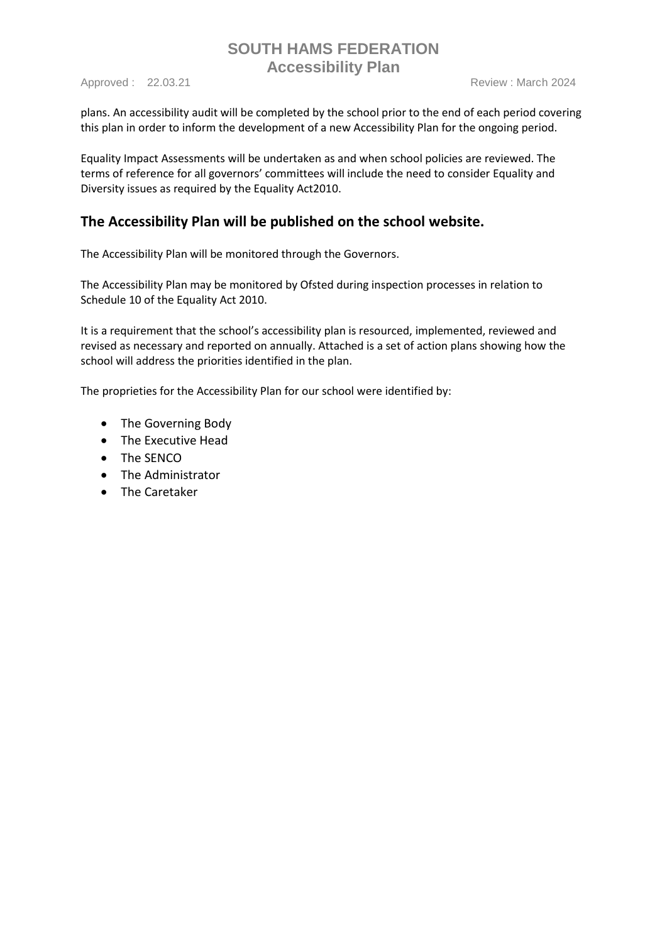plans. An accessibility audit will be completed by the school prior to the end of each period covering this plan in order to inform the development of a new Accessibility Plan for the ongoing period.

Equality Impact Assessments will be undertaken as and when school policies are reviewed. The terms of reference for all governors' committees will include the need to consider Equality and Diversity issues as required by the Equality Act2010.

## **The Accessibility Plan will be published on the school website.**

The Accessibility Plan will be monitored through the Governors.

The Accessibility Plan may be monitored by Ofsted during inspection processes in relation to Schedule 10 of the Equality Act 2010.

It is a requirement that the school's accessibility plan is resourced, implemented, reviewed and revised as necessary and reported on annually. Attached is a set of action plans showing how the school will address the priorities identified in the plan.

The proprieties for the Accessibility Plan for our school were identified by:

- The Governing Body
- The Executive Head
- The SENCO
- The Administrator
- The Caretaker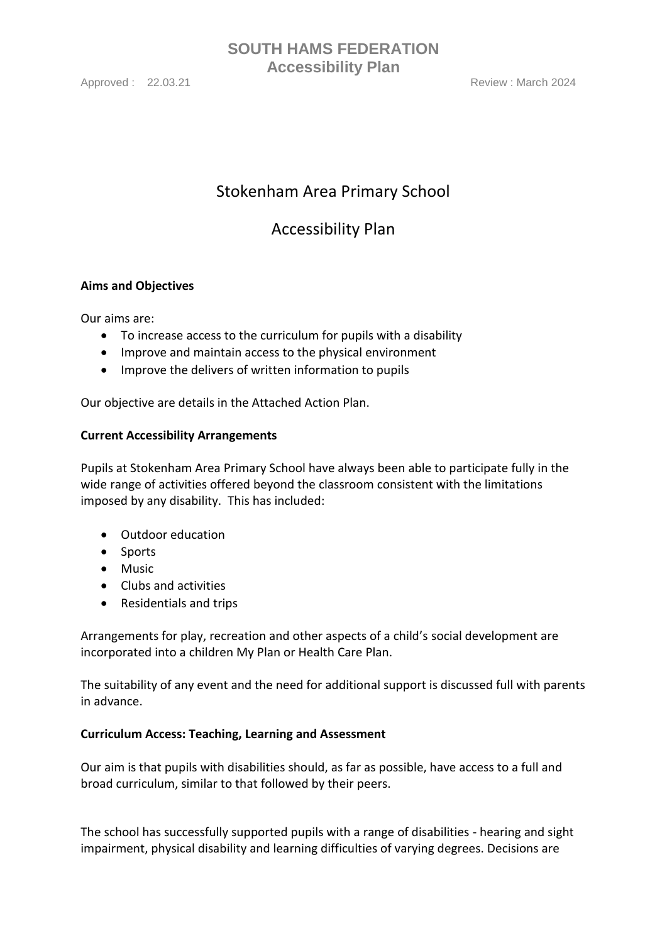Approved : 22.03.21 **Review : March 2024** Review : March 2024

# **SOUTH HAMS FEDERATION Accessibility Plan**

# Stokenham Area Primary School

# Accessibility Plan

## **Aims and Objectives**

Our aims are:

- To increase access to the curriculum for pupils with a disability
- Improve and maintain access to the physical environment
- Improve the delivers of written information to pupils

Our objective are details in the Attached Action Plan.

### **Current Accessibility Arrangements**

Pupils at Stokenham Area Primary School have always been able to participate fully in the wide range of activities offered beyond the classroom consistent with the limitations imposed by any disability. This has included:

- Outdoor education
- Sports
- Music
- Clubs and activities
- Residentials and trips

Arrangements for play, recreation and other aspects of a child's social development are incorporated into a children My Plan or Health Care Plan.

The suitability of any event and the need for additional support is discussed full with parents in advance.

### **Curriculum Access: Teaching, Learning and Assessment**

Our aim is that pupils with disabilities should, as far as possible, have access to a full and broad curriculum, similar to that followed by their peers.

The school has successfully supported pupils with a range of disabilities - hearing and sight impairment, physical disability and learning difficulties of varying degrees. Decisions are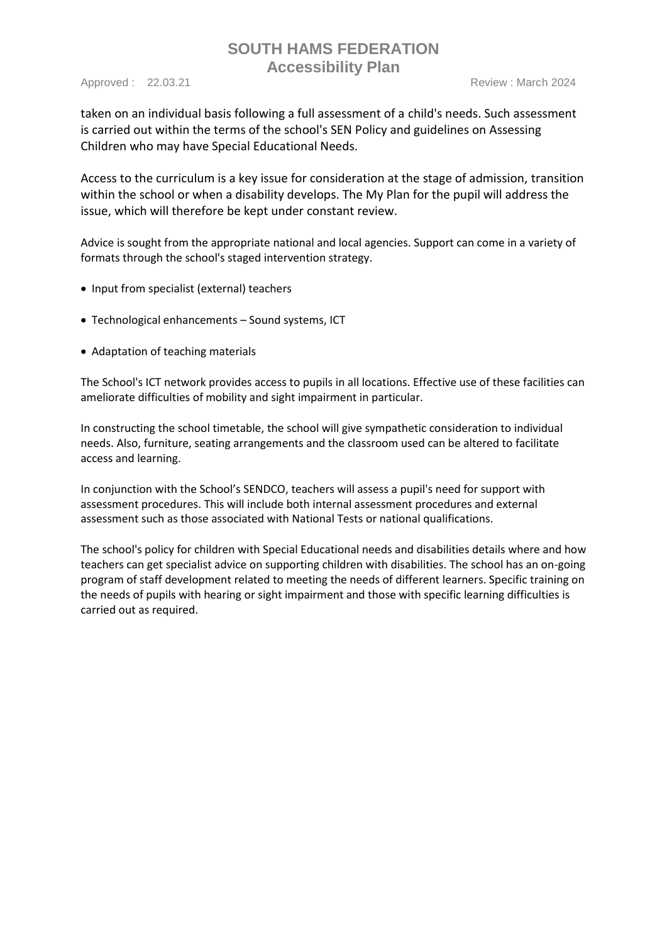Approved : 22.03.21 **Review : March 2024** Review : March 2024

taken on an individual basis following a full assessment of a child's needs. Such assessment is carried out within the terms of the school's SEN Policy and guidelines on Assessing Children who may have Special Educational Needs.

Access to the curriculum is a key issue for consideration at the stage of admission, transition within the school or when a disability develops. The My Plan for the pupil will address the issue, which will therefore be kept under constant review.

Advice is sought from the appropriate national and local agencies. Support can come in a variety of formats through the school's staged intervention strategy.

- Input from specialist (external) teachers
- Technological enhancements Sound systems, ICT
- Adaptation of teaching materials

The School's ICT network provides access to pupils in all locations. Effective use of these facilities can ameliorate difficulties of mobility and sight impairment in particular.

In constructing the school timetable, the school will give sympathetic consideration to individual needs. Also, furniture, seating arrangements and the classroom used can be altered to facilitate access and learning.

In conjunction with the School's SENDCO, teachers will assess a pupil's need for support with assessment procedures. This will include both internal assessment procedures and external assessment such as those associated with National Tests or national qualifications.

The school's policy for children with Special Educational needs and disabilities details where and how teachers can get specialist advice on supporting children with disabilities. The school has an on-going program of staff development related to meeting the needs of different learners. Specific training on the needs of pupils with hearing or sight impairment and those with specific learning difficulties is carried out as required.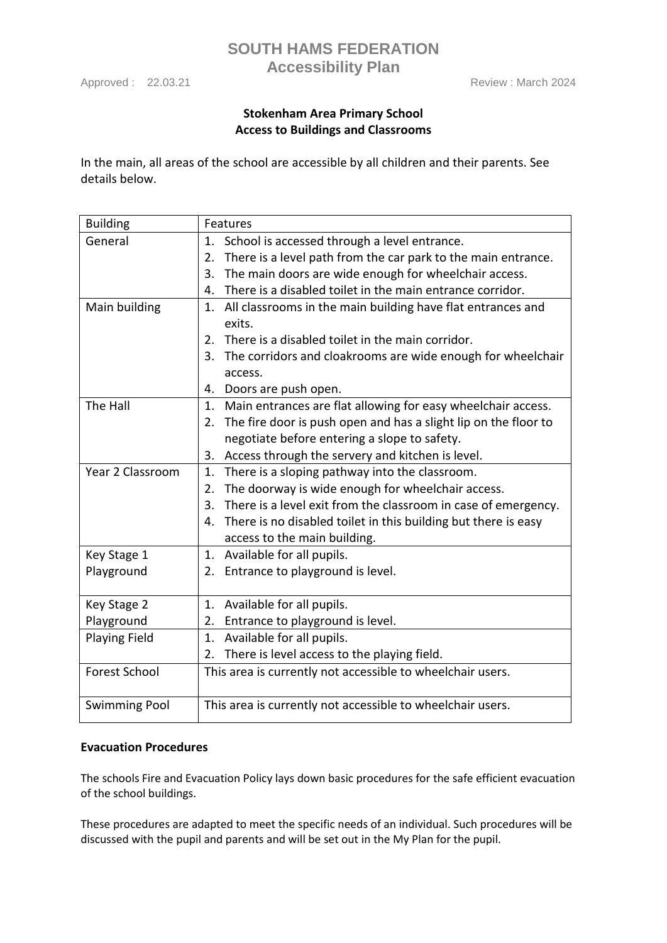Approved : 22.03.21 Review : March 2024

## **Stokenham Area Primary School Access to Buildings and Classrooms**

**SOUTH HAMS FEDERATION Accessibility Plan**

In the main, all areas of the school are accessible by all children and their parents. See details below.

| <b>Building</b>      | Features                                                              |
|----------------------|-----------------------------------------------------------------------|
| General              | 1. School is accessed through a level entrance.                       |
|                      | There is a level path from the car park to the main entrance.<br>2.   |
|                      | 3.<br>The main doors are wide enough for wheelchair access.           |
|                      | There is a disabled toilet in the main entrance corridor.<br>4.       |
| Main building        | All classrooms in the main building have flat entrances and<br>1.     |
|                      | exits.                                                                |
|                      | There is a disabled toilet in the main corridor.<br>2.                |
|                      | The corridors and cloakrooms are wide enough for wheelchair<br>3.     |
|                      | access.                                                               |
|                      | Doors are push open.<br>4.                                            |
| The Hall             | Main entrances are flat allowing for easy wheelchair access.<br>1.    |
|                      | The fire door is push open and has a slight lip on the floor to<br>2. |
|                      | negotiate before entering a slope to safety.                          |
|                      | Access through the servery and kitchen is level.<br>3.                |
| Year 2 Classroom     | There is a sloping pathway into the classroom.<br>1.                  |
|                      | The doorway is wide enough for wheelchair access.<br>2.               |
|                      | There is a level exit from the classroom in case of emergency.<br>3.  |
|                      | There is no disabled toilet in this building but there is easy<br>4.  |
|                      | access to the main building.                                          |
| Key Stage 1          | Available for all pupils.<br>1.                                       |
| Playground           | 2. Entrance to playground is level.                                   |
|                      |                                                                       |
| Key Stage 2          | Available for all pupils.<br>1.                                       |
| Playground           | Entrance to playground is level.<br>2.                                |
| <b>Playing Field</b> | Available for all pupils.<br>1.                                       |
|                      | There is level access to the playing field.<br>2.                     |
| <b>Forest School</b> | This area is currently not accessible to wheelchair users.            |
| <b>Swimming Pool</b> | This area is currently not accessible to wheelchair users.            |

#### **Evacuation Procedures**

The schools Fire and Evacuation Policy lays down basic procedures for the safe efficient evacuation of the school buildings.

These procedures are adapted to meet the specific needs of an individual. Such procedures will be discussed with the pupil and parents and will be set out in the My Plan for the pupil.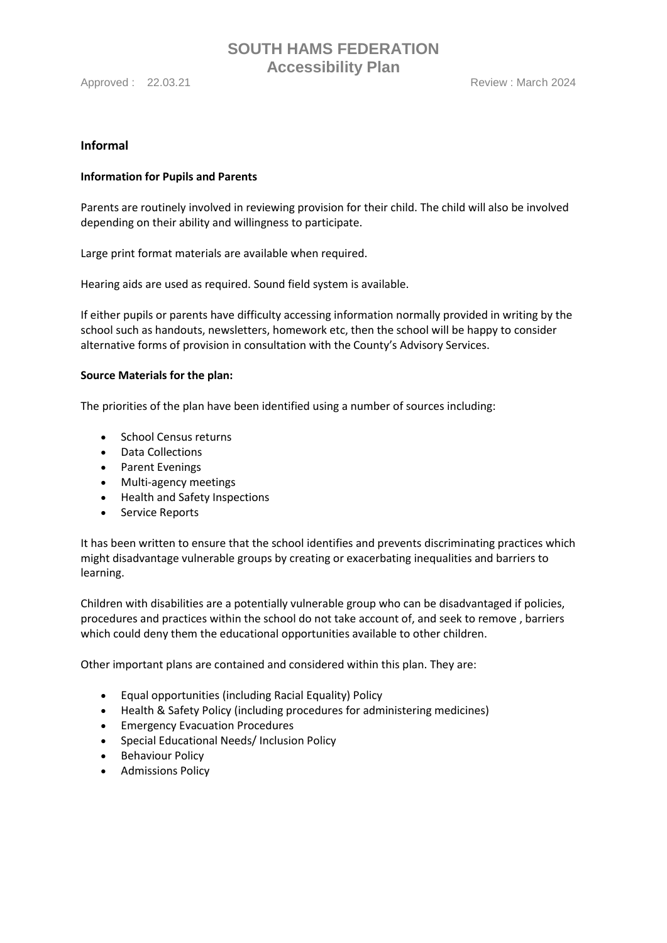Approved : 22.03.21 Review : March 2024

#### **Informal**

#### **Information for Pupils and Parents**

Parents are routinely involved in reviewing provision for their child. The child will also be involved depending on their ability and willingness to participate.

Large print format materials are available when required.

Hearing aids are used as required. Sound field system is available.

If either pupils or parents have difficulty accessing information normally provided in writing by the school such as handouts, newsletters, homework etc, then the school will be happy to consider alternative forms of provision in consultation with the County's Advisory Services.

#### **Source Materials for the plan:**

The priorities of the plan have been identified using a number of sources including:

- School Census returns
- Data Collections
- Parent Evenings
- Multi-agency meetings
- Health and Safety Inspections
- Service Reports

It has been written to ensure that the school identifies and prevents discriminating practices which might disadvantage vulnerable groups by creating or exacerbating inequalities and barriers to learning.

Children with disabilities are a potentially vulnerable group who can be disadvantaged if policies, procedures and practices within the school do not take account of, and seek to remove , barriers which could deny them the educational opportunities available to other children.

Other important plans are contained and considered within this plan. They are:

- Equal opportunities (including Racial Equality) Policy
- Health & Safety Policy (including procedures for administering medicines)
- Emergency Evacuation Procedures
- Special Educational Needs/ Inclusion Policy
- Behaviour Policy
- Admissions Policy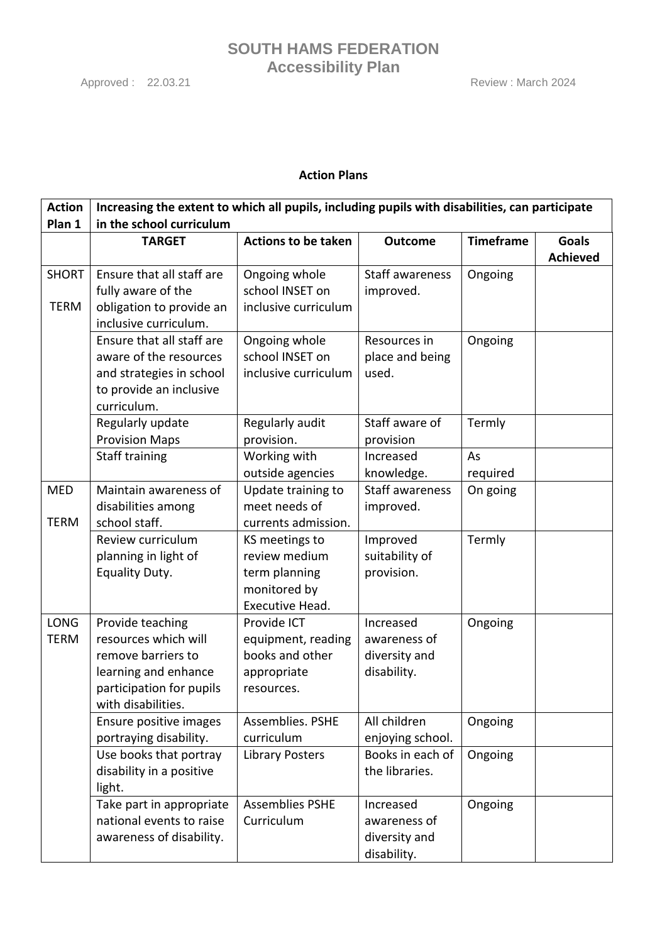## **Action Plans**

| <b>Action</b> | Increasing the extent to which all pupils, including pupils with disabilities, can participate |                            |                        |                  |                 |
|---------------|------------------------------------------------------------------------------------------------|----------------------------|------------------------|------------------|-----------------|
| Plan 1        | in the school curriculum                                                                       |                            |                        |                  |                 |
|               | <b>TARGET</b>                                                                                  | <b>Actions to be taken</b> | <b>Outcome</b>         | <b>Timeframe</b> | <b>Goals</b>    |
|               |                                                                                                |                            |                        |                  | <b>Achieved</b> |
| <b>SHORT</b>  | Ensure that all staff are                                                                      | Ongoing whole              | <b>Staff awareness</b> | Ongoing          |                 |
|               | fully aware of the                                                                             | school INSET on            | improved.              |                  |                 |
| <b>TERM</b>   | obligation to provide an                                                                       | inclusive curriculum       |                        |                  |                 |
|               | inclusive curriculum.                                                                          |                            |                        |                  |                 |
|               | Ensure that all staff are                                                                      | Ongoing whole              | Resources in           | Ongoing          |                 |
|               | aware of the resources                                                                         | school INSET on            | place and being        |                  |                 |
|               | and strategies in school                                                                       | inclusive curriculum       | used.                  |                  |                 |
|               | to provide an inclusive                                                                        |                            |                        |                  |                 |
|               | curriculum.                                                                                    |                            |                        |                  |                 |
|               | Regularly update                                                                               | Regularly audit            | Staff aware of         | Termly           |                 |
|               | <b>Provision Maps</b>                                                                          | provision.                 | provision              |                  |                 |
|               | <b>Staff training</b>                                                                          | Working with               | Increased              | As               |                 |
|               |                                                                                                | outside agencies           | knowledge.             | required         |                 |
| <b>MED</b>    | Maintain awareness of                                                                          | Update training to         | <b>Staff awareness</b> | On going         |                 |
|               | disabilities among                                                                             | meet needs of              | improved.              |                  |                 |
| <b>TERM</b>   | school staff.                                                                                  | currents admission.        |                        |                  |                 |
|               | Review curriculum                                                                              | KS meetings to             | Improved               | Termly           |                 |
|               | planning in light of                                                                           | review medium              | suitability of         |                  |                 |
|               | Equality Duty.                                                                                 | term planning              | provision.             |                  |                 |
|               |                                                                                                | monitored by               |                        |                  |                 |
|               |                                                                                                | Executive Head.            |                        |                  |                 |
| <b>LONG</b>   | Provide teaching                                                                               | Provide ICT                | Increased              | Ongoing          |                 |
| <b>TERM</b>   | resources which will                                                                           | equipment, reading         | awareness of           |                  |                 |
|               | remove barriers to                                                                             | books and other            | diversity and          |                  |                 |
|               | learning and enhance                                                                           | appropriate                | disability.            |                  |                 |
|               | participation for pupils                                                                       | resources.                 |                        |                  |                 |
|               | with disabilities.                                                                             |                            |                        |                  |                 |
|               | Ensure positive images                                                                         | Assemblies. PSHE           | All children           | Ongoing          |                 |
|               | portraying disability.                                                                         | curriculum                 | enjoying school.       |                  |                 |
|               | Use books that portray                                                                         | <b>Library Posters</b>     | Books in each of       | Ongoing          |                 |
|               | disability in a positive                                                                       |                            | the libraries.         |                  |                 |
|               | light.                                                                                         |                            |                        |                  |                 |
|               | Take part in appropriate                                                                       | <b>Assemblies PSHE</b>     | Increased              | Ongoing          |                 |
|               | national events to raise                                                                       | Curriculum                 | awareness of           |                  |                 |
|               | awareness of disability.                                                                       |                            | diversity and          |                  |                 |
|               |                                                                                                |                            | disability.            |                  |                 |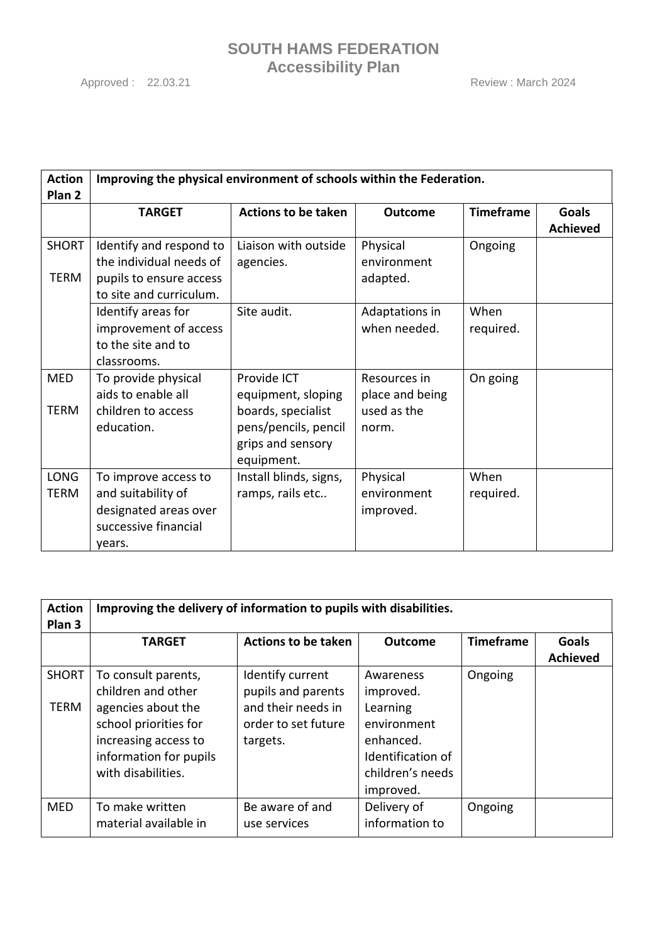Approved : 22.03.21 Review : March 2024

| <b>Action</b><br>Plan <sub>2</sub> | Improving the physical environment of schools within the Federation.                                     |                                                                               |                                      |                   |                                 |
|------------------------------------|----------------------------------------------------------------------------------------------------------|-------------------------------------------------------------------------------|--------------------------------------|-------------------|---------------------------------|
|                                    | <b>TARGET</b>                                                                                            | <b>Actions to be taken</b>                                                    | <b>Outcome</b>                       | <b>Timeframe</b>  | <b>Goals</b><br><b>Achieved</b> |
| <b>SHORT</b><br><b>TERM</b>        | Identify and respond to<br>the individual needs of<br>pupils to ensure access<br>to site and curriculum. | Liaison with outside<br>agencies.                                             | Physical<br>environment<br>adapted.  | Ongoing           |                                 |
|                                    | Identify areas for<br>improvement of access<br>to the site and to<br>classrooms.                         | Site audit.                                                                   | Adaptations in<br>when needed.       | When<br>required. |                                 |
| <b>MED</b>                         | To provide physical<br>aids to enable all                                                                | Provide ICT<br>equipment, sloping                                             | Resources in<br>place and being      | On going          |                                 |
| <b>TERM</b>                        | children to access<br>education.                                                                         | boards, specialist<br>pens/pencils, pencil<br>grips and sensory<br>equipment. | used as the<br>norm.                 |                   |                                 |
| <b>LONG</b><br><b>TERM</b>         | To improve access to<br>and suitability of<br>designated areas over<br>successive financial<br>vears.    | Install blinds, signs,<br>ramps, rails etc                                    | Physical<br>environment<br>improved. | When<br>required. |                                 |

| <b>Action</b><br>Plan <sub>3</sub> | Improving the delivery of information to pupils with disabilities.                                                                                               |                                                                                                 |                                                                                                                      |                  |                                 |
|------------------------------------|------------------------------------------------------------------------------------------------------------------------------------------------------------------|-------------------------------------------------------------------------------------------------|----------------------------------------------------------------------------------------------------------------------|------------------|---------------------------------|
|                                    | <b>TARGET</b>                                                                                                                                                    | <b>Actions to be taken</b>                                                                      | <b>Outcome</b>                                                                                                       | <b>Timeframe</b> | <b>Goals</b><br><b>Achieved</b> |
| <b>SHORT</b><br><b>TERM</b>        | To consult parents,<br>children and other<br>agencies about the<br>school priorities for<br>increasing access to<br>information for pupils<br>with disabilities. | Identify current<br>pupils and parents<br>and their needs in<br>order to set future<br>targets. | Awareness<br>improved.<br>Learning<br>environment<br>enhanced.<br>Identification of<br>children's needs<br>improved. | Ongoing          |                                 |
| <b>MED</b>                         | To make written<br>material available in                                                                                                                         | Be aware of and<br>use services                                                                 | Delivery of<br>information to                                                                                        | Ongoing          |                                 |